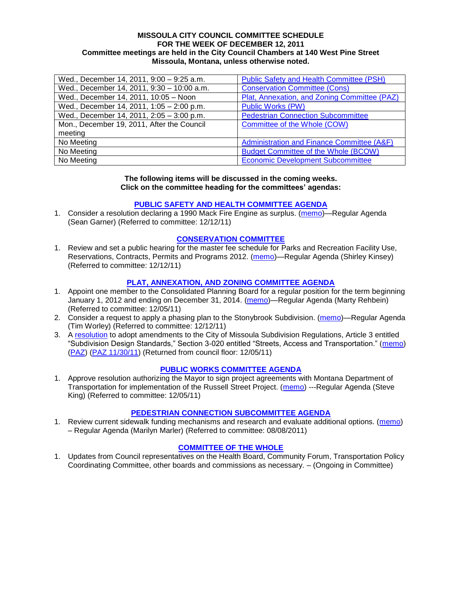#### **MISSOULA CITY COUNCIL COMMITTEE SCHEDULE FOR THE WEEK OF DECEMBER 12, 2011 Committee meetings are held in the City Council Chambers at 140 West Pine Street Missoula, Montana, unless otherwise noted.**

| Wed., December 14, 2011, 9:00 - 9:25 a.m.  | Public Safety and Health Committee (PSH)     |
|--------------------------------------------|----------------------------------------------|
| Wed., December 14, 2011, 9:30 - 10:00 a.m. | <b>Conservation Committee (Cons)</b>         |
| Wed., December 14, 2011, 10:05 - Noon      | Plat, Annexation, and Zoning Committee (PAZ) |
| Wed., December 14, 2011, 1:05 - 2:00 p.m.  | Public Works (PW)                            |
| Wed., December 14, 2011, 2:05 - 3:00 p.m.  | <b>Pedestrian Connection Subcommittee</b>    |
| Mon., December 19, 2011, After the Council | Committee of the Whole (COW)                 |
| meeting                                    |                                              |
| No Meeting                                 | Administration and Finance Committee (A&F)   |
| No Meeting                                 | <b>Budget Committee of the Whole (BCOW)</b>  |
| No Meeting                                 | <b>Economic Development Subcommittee</b>     |

#### **The following items will be discussed in the coming weeks. Click on the committee heading for the committees' agendas:**

### **[PUBLIC SAFETY AND HEALTH COMMITTEE AGENDA](http://www.ci.missoula.mt.us/DocumentCenterii.aspx?FID=829)**

1. Consider a resolution declaring a 1990 Mack Fire Engine as surplus. [\(memo\)](http://www.ci.missoula.mt.us/DocumentView.aspx?DID=7832)—Regular Agenda (Sean Garner) (Referred to committee: 12/12/11)

### **[CONSERVATION COMMITTEE](http://www.ci.missoula.mt.us/DocumentCenterii.aspx?FID=832)**

1. Review and set a public hearing for the master fee schedule for Parks and Recreation Facility Use, Reservations, Contracts, Permits and Programs 2012. [\(memo\)](http://www.ci.missoula.mt.us/DocumentView.aspx?DID=7817)—Regular Agenda (Shirley Kinsey) (Referred to committee: 12/12/11)

### **[PLAT, ANNEXATION, AND ZONING COMMITTEE AGENDA](http://www.ci.missoula.mt.us/DocumentCenterii.aspx?FID=831)**

- 1. Appoint one member to the Consolidated Planning Board for a regular position for the term beginning January 1, 2012 and ending on December 31, 2014. [\(memo\)](http://www.ci.missoula.mt.us/DocumentView.aspx?DID=7787)—Regular Agenda (Marty Rehbein) (Referred to committee: 12/05/11)
- 2. Consider a request to apply a phasing plan to the Stonybrook Subdivision. [\(memo\)](http://www.ci.missoula.mt.us/DocumentView.aspx?DID=7827)—Regular Agenda (Tim Worley) (Referred to committee: 12/12/11)
- 3. A [resolution](http://www.ci.missoula.mt.us/DocumentView.aspx?DID=7484) to adopt amendments to the City of Missoula Subdivision Regulations, Article 3 entitled "Subdivision Design Standards," Section 3-020 entitled "Streets, Access and Transportation." [\(memo\)](http://www.ci.missoula.mt.us/DocumentView.aspx?DID=7491) [\(PAZ\)](http://www.ci.missoula.mt.us/Archive.aspx?ADID=4684) [\(PAZ 11/30/11\)](http://www.ci.missoula.mt.us/Archive.aspx?ADID=4786) (Returned from council floor: 12/05/11)

#### **[PUBLIC WORKS COMMITTEE AGENDA](http://www.ci.missoula.mt.us/DocumentCenterii.aspx?FID=833)**

1. Approve resolution authorizing the Mayor to sign project agreements with Montana Department of Transportation for implementation of the Russell Street Project. [\(memo\)](http://www.ci.missoula.mt.us/DocumentView.aspx?DID=7784) ---Regular Agenda (Steve King) (Referred to committee: 12/05/11)

#### **[PEDESTRIAN CONNECTION SUBCOMMITTEE AGENDA](http://www.ci.missoula.mt.us/DocumentCenterii.aspx?FID=845)**

1. Review current sidewalk funding mechanisms and research and evaluate additional options. [\(memo\)](http://www.ci.missoula.mt.us/DocumentView.aspx?DID=7017) – Regular Agenda (Marilyn Marler) (Referred to committee: 08/08/2011)

#### **[COMMITTEE OF THE WHOLE](http://www.ci.missoula.mt.us/DocumentCenterii.aspx?FID=834)**

1. Updates from Council representatives on the Health Board, Community Forum, Transportation Policy Coordinating Committee, other boards and commissions as necessary. – (Ongoing in Committee)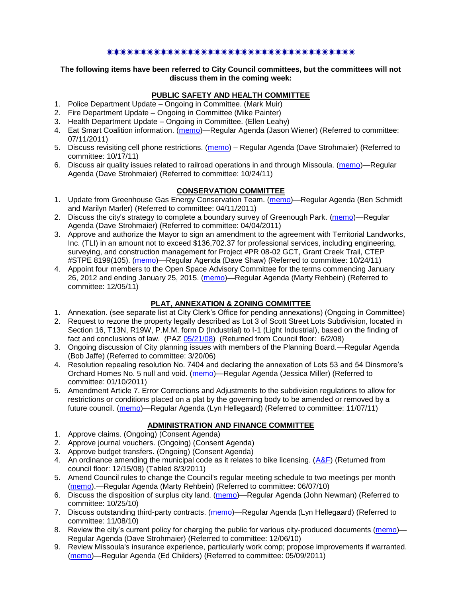### 

**The following items have been referred to City Council committees, but the committees will not discuss them in the coming week:**

# **PUBLIC SAFETY AND HEALTH COMMITTEE**

- 1. Police Department Update Ongoing in Committee. (Mark Muir)
- 2. Fire Department Update Ongoing in Committee (Mike Painter)
- 3. Health Department Update Ongoing in Committee. (Ellen Leahy)
- 4. Eat Smart Coalition information. [\(memo\)](http://www.ci.missoula.mt.us/DocumentView.aspx?DID=6776)—Regular Agenda (Jason Wiener) (Referred to committee: 07/11/2011)
- 5. Discuss revisiting cell phone restrictions. [\(memo\)](http://www.ci.missoula.mt.us/DocumentView.aspx?DID=7420) Regular Agenda (Dave Strohmaier) (Referred to committee: 10/17/11)
- 6. Discuss air quality issues related to railroad operations in and through Missoula. [\(memo\)](http://www.ci.missoula.mt.us/DocumentView.aspx?DID=7495)—Regular Agenda (Dave Strohmaier) (Referred to committee: 10/24/11)

# **CONSERVATION COMMITTEE**

- 1. Update from Greenhouse Gas Energy Conservation Team. [\(memo\)](http://www.ci.missoula.mt.us/DocumentView.aspx?DID=5945)—Regular Agenda (Ben Schmidt and Marilyn Marler) (Referred to committee: 04/11/2011)
- 2. Discuss the city's strategy to complete a boundary survey of Greenough Park. [\(memo\)](http://www.ci.missoula.mt.us/DocumentView.aspx?DID=5875)—Regular Agenda (Dave Strohmaier) (Referred to committee: 04/04/2011)
- 3. Approve and authorize the Mayor to sign an amendment to the agreement with Territorial Landworks, Inc. (TLI) in an amount not to exceed \$136,702.37 for professional services, including engineering, surveying, and construction management for Project #PR 08-02 GCT, Grant Creek Trail, CTEP #STPE 8199(105). [\(memo\)](http://www.ci.missoula.mt.us/DocumentView.aspx?DID=7494)—Regular Agenda (Dave Shaw) (Referred to committee: 10/24/11)
- 4. Appoint four members to the Open Space Advisory Committee for the terms commencing January 26, 2012 and ending January 25, 2015. [\(memo\)](http://www.ci.missoula.mt.us/DocumentView.aspx?DID=7747)—Regular Agenda (Marty Rehbein) (Referred to committee: 12/05/11)

# **PLAT, ANNEXATION & ZONING COMMITTEE**

- 1. Annexation. (see separate list at City Clerk's Office for pending annexations) (Ongoing in Committee)
- 2. Request to rezone the property legally described as Lot 3 of Scott Street Lots Subdivision, located in Section 16, T13N, R19W, P.M.M. form D (Industrial) to I-1 (Light Industrial), based on the finding of fact and conclusions of law. (PAZ [05/21/08\)](ftp://ftp.ci.missoula.mt.us/Packets/Council/2008/2008-06-02/080521paz.pdf) (Returned from Council floor: 6/2/08)
- 3. Ongoing discussion of City planning issues with members of the Planning Board.—Regular Agenda (Bob Jaffe) (Referred to committee: 3/20/06)
- 4. Resolution repealing resolution No. 7404 and declaring the annexation of Lots 53 and 54 Dinsmore's Orchard Homes No. 5 null and void. [\(memo\)](http://www.ci.missoula.mt.us/DocumentView.aspx?DID=5349)—Regular Agenda (Jessica Miller) (Referred to committee: 01/10/2011)
- 5. Amendment Article 7. Error Corrections and Adjustments to the subdivision regulations to allow for restrictions or conditions placed on a plat by the governing body to be amended or removed by a future council. [\(memo\)](http://www.ci.missoula.mt.us/DocumentView.aspx?DID=7568)—Regular Agenda (Lyn Hellegaard) (Referred to committee: 11/07/11)

# **ADMINISTRATION AND FINANCE COMMITTEE**

- 1. Approve claims. (Ongoing) (Consent Agenda)
- 2. Approve journal vouchers. (Ongoing) (Consent Agenda)
- 3. Approve budget transfers. (Ongoing) (Consent Agenda)
- 4. An ordinance amending the municipal code as it relates to bike licensing. [\(A&F\)](ftp://ftp.ci.missoula.mt.us/Packets/Council/2008/2008-12-15/081210af.pdf) (Returned from council floor: 12/15/08) (Tabled 8/3/2011)
- 5. Amend Council rules to change the Council's regular meeting schedule to two meetings per month [\(memo\)](http://www.ci.missoula.mt.us/DocumentView.aspx?DID=4027).—Regular Agenda (Marty Rehbein) (Referred to committee: 06/07/10)
- 6. Discuss the disposition of surplus city land. [\(memo\)](http://www.ci.missoula.mt.us/DocumentView.aspx?DID=4862)—Regular Agenda (John Newman) (Referred to committee: 10/25/10)
- 7. Discuss outstanding third-party contracts. [\(memo\)](http://www.ci.missoula.mt.us/DocumentView.aspx?DID=4956)—Regular Agenda (Lyn Hellegaard) (Referred to committee: 11/08/10)
- 8. Review the city's current policy for charging the public for various city-produced documents [\(memo\)](http://www.ci.missoula.mt.us/DocumentView.aspx?DID=5143) Regular Agenda (Dave Strohmaier) (Referred to committee: 12/06/10)
- 9. Review Missoula's insurance experience, particularly work comp; propose improvements if warranted. [\(memo\)](http://www.ci.missoula.mt.us/DocumentView.aspx?DID=6381)—Regular Agenda (Ed Childers) (Referred to committee: 05/09/2011)